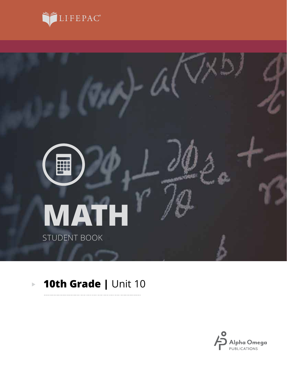



#### **10th Grade |** Unit 10 $\mathbb{R}^2$

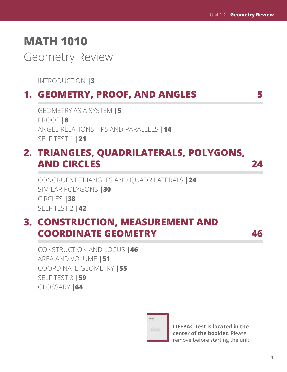# **MATH 1010**

Geometry Review

INTRODUCTION **|3**

# **1. GEOMETRY, PROOF, AND ANGLES 5**

GEOMETRY AS A SYSTEM **|5** PROOF **|8** ANGLE RELATIONSHIPS AND PARALLELS **|14** SELF TEST 1 **|21**

## **2. TRIANGLES, QUADRILATERALS, POLYGONS, AND CIRCLES 24**

CONGRUENT TRIANGLES AND QUADRILATERALS **|24** SIMILAR POLYGONS **|30** CIRCLES **|38** SELF TEST 2 **|42**

## **3. CONSTRUCTION, MEASUREMENT AND COORDINATE GEOMETRY 46**

CONSTRUCTION AND LOCUS **|46** AREA AND VOLUME **|51** COORDINATE GEOMETRY **|55** SELF TEST 3 **|59** GLOSSARY **|64**



**LIFEPAC Test is located in the center of the booklet**. Please remove before starting the unit.

|**1**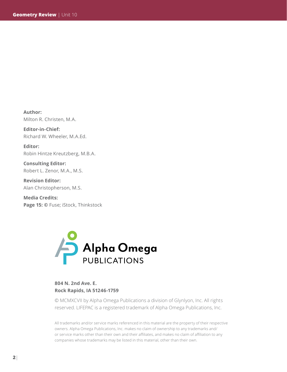**Author:**  Milton R. Christen, M.A.

**Editor-in-Chief:**  Richard W. Wheeler, M.A.Ed.

**Editor:**  Robin Hintze Kreutzberg, M.B.A.

**Consulting Editor:**  Robert L. Zenor, M.A., M.S.

**Revision Editor:**  Alan Christopherson, M.S.

**Media Credits:** Page 15: © Fuse; iStock, Thinkstock



#### **804 N. 2nd Ave. E. Rock Rapids, IA 51246-1759**

© MCMXCVII by Alpha Omega Publications a division of Glynlyon, Inc. All rights reserved. LIFEPAC is a registered trademark of Alpha Omega Publications, Inc.

All trademarks and/or service marks referenced in this material are the property of their respective owners. Alpha Omega Publications, Inc. makes no claim of ownership to any trademarks and/ or service marks other than their own and their affiliates, and makes no claim of affiliation to any companies whose trademarks may be listed in this material, other than their own.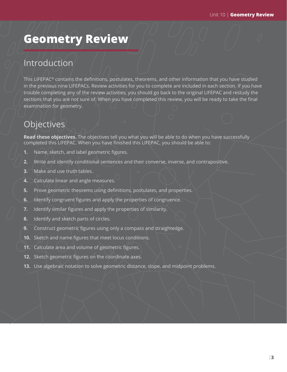# **Geometry Review**

### Introduction

This LIFEPAC® contains the definitions, postulates, theorems, and other information that you have studied in the previous nine LIFEPACs. Review activities for you to complete are included in each section. If you have trouble completing any of the review activities, you should go back to the original LIFEPAC and restudy the sections that you are not sure of. When you have completed this review, you will be ready to take the final examination for geometry.

### **Objectives**

**Read these objectives.** The objectives tell you what you will be able to do when you have successfully completed this LIFEPAC. When you have finished this LIFEPAC, you should be able to:

- **1.** Name, sketch, and label geometric figures.
- **2.** Write and identify conditional sentences and their converse, inverse, and contrapositive.
- **3.** Make and use truth tables.
- **4.** Calculate linear and angle measures.
- **5.** Prove geometric theorems using definitions, postulates, and properties.
- **6.** Identify congruent figures and apply the properties of congruence.
- **7.** Identify similar figures and apply the properties of similarity.
- **8.** Identify and sketch parts of circles.
- **9.** Construct geometric figures using only a compass and straightedge.
- **10.** Sketch and name figures that meet locus conditions.
- **11.** Calculate area and volume of geometric figures.
- **12.** Sketch geometric figures on the coordinate axes.
- **13.** Use algebraic notation to solve geometric distance, slope, and midpoint problems.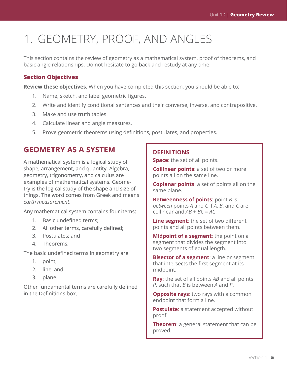# 1. GEOMETRY, PROOF, AND ANGLES

This section contains the review of geometry as a mathematical system, proof of theorems, and basic angle relationships. Do not hesitate to go back and restudy at any time!

#### **Section Objectives**

**Review these objectives**. When you have completed this section, you should be able to:

- 1. Name, sketch, and label geometric figures.
- 2. Write and identify conditional sentences and their converse, inverse, and contrapositive.
- 3. Make and use truth tables.
- 4. Calculate linear and angle measures.
- 5. Prove geometric theorems using definitions, postulates, and properties.

### **GEOMETRY AS A SYSTEM**

A mathematical system is a logical study of shape, arrangement, and quantity. Algebra, geometry, trigonometry, and calculus are examples of mathematical systems. Geometry is the logical study of the shape and size of things. The word comes from Greek and means *earth measurement*.

Any mathematical system contains four items:

- 1. Basic undefined terms;
- 2. All other terms, carefully defined;
- 3. Postulates; and
- 4. Theorems.

The basic undefined terms in geometry are

- 1. point,
- 2. line, and
- 3. plane.

Other fundamental terms are carefully defined in the Definitions box.

#### **DEFINITIONS**

**Space**: the set of all points.

**Collinear points**: a set of two or more points all on the same line.

**Coplanar points**: a set of points all on the same plane.

**Betweenness of points**: point *B* is *between* points *A* and *C* if *A*, *B*, and *C* are collinear and *AB* + *BC* = *AC*.

**Line segment**: the set of two different points and all points between them.

**Midpoint of a segment**: the point on a segment that divides the segment into two segments of equal length.

**Bisector of a segment**: a line or segment that intersects the first segment at its midpoint.

**Ray**: the set of all points *AB* and all points *P*, such that *B* is between *A* and *P*.

**Opposite rays**: two rays with a common endpoint that form a line.

**Postulate**: a statement accepted without proof.

**Theorem**: a general statement that can be proved.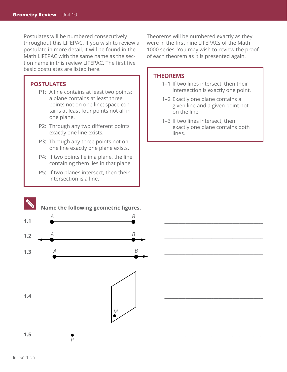Postulates will be numbered consecutively throughout this LIFEPAC. If you wish to review a postulate in more detail, it will be found in the Math LIFEPAC with the same name as the section name in this review LIFEPAC. The first five basic postulates are listed here.

#### **POSTULATES**

- P1: A line contains at least two points; a plane contains at least three points not on one line; space contains at least four points not all in one plane.
- P2: Through any two different points exactly one line exists.
- P3: Through any three points not on one line exactly one plane exists.
- P4: If two points lie in a plane, the line containing them lies in that plane.
- P5: If two planes intersect, then their intersection is a line.

Theorems will be numbered exactly as they were in the first nine LIFEPACs of the Math 1000 series. You may wish to review the proof of each theorem as it is presented again.

#### **THEOREMS**

- 1–1 If two lines intersect, then their intersection is exactly one point.
- 1–2 Exactly one plane contains a given line and a given point not on the line.
- 1–3 If two lines intersect, then exactly one plane contains both lines.

\_\_\_\_\_\_\_\_\_\_\_\_\_\_\_\_\_\_\_\_\_\_\_\_\_\_\_\_\_\_\_\_\_\_\_\_\_\_\_\_\_\_

\_\_\_\_\_\_\_\_\_\_\_\_\_\_\_\_\_\_\_\_\_\_\_\_\_\_\_\_\_\_\_\_\_\_\_\_\_\_\_\_\_\_

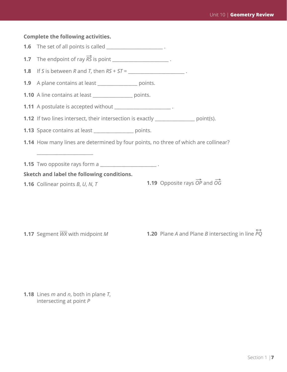#### **Complete the following activities.**

**1.6** The set of all points is called \_\_\_\_\_\_\_\_\_\_\_\_\_\_\_\_\_\_\_\_\_\_\_\_\_.

**1.7** The endpoint of ray  $\overrightarrow{RS}$  is point  $\overrightarrow{RT}$ 

**1.8** If *S* is between *R* and *T*, then  $RS + ST =$  \_\_\_\_\_\_\_\_\_\_\_\_\_\_\_\_\_\_\_\_\_\_\_\_\_\_\_\_\_\_\_\_

**1.9** A plane contains at least \_\_\_\_\_\_\_\_\_\_\_\_\_\_\_\_\_ points.

**1.10** A line contains at least **example 1.10** points.

**1.11** A postulate is accepted without \_\_\_\_\_\_\_\_\_\_\_\_\_\_\_\_\_\_\_\_\_\_\_\_\_.

**1.12** If two lines intersect, their intersection is exactly \_\_\_\_\_\_\_\_\_\_\_\_\_\_\_\_\_ point(s).

**1.13** Space contains at least **contains** points.

**1.14** How many lines are determined by four points, no three of which are collinear?

**1.15** Two opposite rays form a

**Sketch and label the following conditions.**

**1.16** Collinear points *B*, *U*, *N*, *T*

 $\_$ 

**1.19** Opposite rays  $\overrightarrow{OP}$  and  $\overrightarrow{OG}$ 

**1.17** Segment *WX* with midpoint *M*

) **1.20** Plane *A* and Plane *B* intersecting in line *PQ*

**1.18** Lines *m* and *n*, both in plane *T*, intersecting at point *P*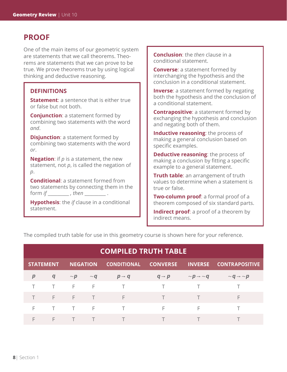### **PROOF**

One of the main items of our geometric system are statements that we call theorems. Theorems are statements that we can prove to be true. We prove theorems true by using logical thinking and deductive reasoning.

#### **DEFINITIONS**

**Statement**: a sentence that is either true or false but not both.

**Conjunction:** a statement formed by combining two statements with the word *and*.

**Disjunction**: a statement formed by combining two statements with the word *or*.

**Negation**: if *p* is a statement, the new statement, not *p*, is called the negation of *p*.

**Conditional**: a statement formed from two statements by connecting them in the form *if* \_\_\_\_\_\_\_\_\_\_\_\_ , then \_\_\_\_\_\_\_\_\_\_\_\_\_\_\_ .

**Hypothesis**: the *if* clause in a conditional statement.

**Conclusion**: the *then* clause in a conditional statement.

**Converse**: a statement formed by interchanging the hypothesis and the conclusion in a conditional statement.

**Inverse:** a statement formed by negating both the hypothesis and the conclusion of a conditional statement.

**Contrapositive**: a statement formed by exchanging the hypothesis and conclusion and negating both of them.

**Inductive reasoning:** the process of making a general conclusion based on specific examples.

**Deductive reasoning:** the process of making a conclusion by fitting a specific example to a general statement.

**Truth table:** an arrangement of truth values to determine when a statement is true or false.

**Two-column proof**: a formal proof of a theorem composed of six standard parts.

**Indirect proof**: a proof of a theorem by indirect means.

The compiled truth table for use in this geometry course is shown here for your reference.

|                  |                     |  | <b>COMPILED TRUTH TABLE</b>         |                                                |                                                         |
|------------------|---------------------|--|-------------------------------------|------------------------------------------------|---------------------------------------------------------|
| <b>STATEMENT</b> |                     |  |                                     |                                                | NEGATION CONDITIONAL CONVERSE INVERSE CONTRAPOSITIVE    |
| $\boldsymbol{p}$ | $\boldsymbol{q}$    |  | $\sim p$ $\sim q$ $p \rightarrow q$ | $q \rightarrow p$                              | $\sim p \rightarrow \sim q$ $\sim q \rightarrow \sim p$ |
|                  |                     |  | TTFFTTTT                            |                                                |                                                         |
|                  |                     |  | FFFTFF                              | $\mathsf{T}$ and $\mathsf{T}$ and $\mathsf{T}$ | F                                                       |
| F                |                     |  | TTFTFTFFFFF                         |                                                |                                                         |
|                  | $F \cdot T \cdot T$ |  | $\mathcal{L} = \mathcal{L}$         |                                                |                                                         |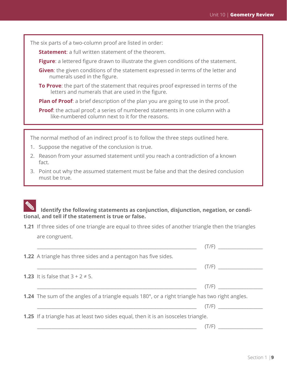The six parts of a two-column proof are listed in order:

**Statement**: a full written statement of the theorem.

- **Figure**: a lettered figure drawn to illustrate the given conditions of the statement.
- **Given**: the given conditions of the statement expressed in terms of the letter and numerals used in the figure.
- **To Prove**: the part of the statement that requires proof expressed in terms of the letters and numerals that are used in the figure.

**Plan of Proof**: a brief description of the plan you are going to use in the proof.

**Proof**: the actual proof; a series of numbered statements in one column with a like-numbered column next to it for the reasons.

The normal method of an indirect proof is to follow the three steps outlined here.

- 1. Suppose the negative of the conclusion is true.
- 2. Reason from your assumed statement until you reach a contradiction of a known fact.
- 3. Point out why the assumed statement must be false and that the desired conclusion must be true.

#### **Identify the following statements as conjunction, disjunction, negation, or conditional, and tell if the statement is true or false.**

**1.21** If three sides of one triangle are equal to three sides of another triangle then the triangles are congruent.

| (T/F)                                                                                                                         |
|-------------------------------------------------------------------------------------------------------------------------------|
| <b>1.22</b> A triangle has three sides and a pentagon has five sides.                                                         |
| (T/F)                                                                                                                         |
| <b>1.23</b> It is false that $3 + 2 \ne 5$ .                                                                                  |
| (T/F)                                                                                                                         |
| <b>1.24</b> The sum of the angles of a triangle equals 180°, or a right triangle has two right angles.                        |
| (T/F)<br><u> Alexandria de la contrada de la contrada de la contrada de la contrada de la contrada de la contrada de la c</u> |
| <b>1.25</b> If a triangle has at least two sides equal, then it is an isosceles triangle.                                     |
|                                                                                                                               |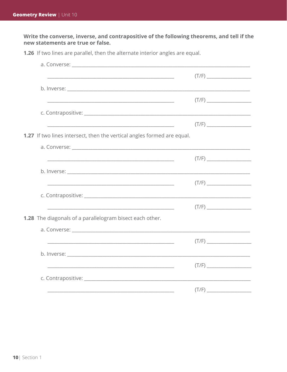Write the converse, inverse, and contrapositive of the following theorems, and tell if the new statements are true or false.

| <u> 1989 - Johann John Harry Harry Harry Harry Harry Harry Harry Harry Harry Harry Harry Harry Harry Harry Harry</u>  |  |
|-----------------------------------------------------------------------------------------------------------------------|--|
|                                                                                                                       |  |
|                                                                                                                       |  |
| 1.27 If two lines intersect, then the vertical angles formed are equal.                                               |  |
|                                                                                                                       |  |
|                                                                                                                       |  |
|                                                                                                                       |  |
|                                                                                                                       |  |
|                                                                                                                       |  |
| <u> 1989 - Johann Stoff, deutscher Stoff, der Stoff, der Stoff, der Stoff, der Stoff, der Stoff, der Stoff, der S</u> |  |
| <b>1.28</b> The diagonals of a parallelogram bisect each other.                                                       |  |
|                                                                                                                       |  |
| <u> 1989 - Jan James James Barnett, fransk politik (d. 1989)</u>                                                      |  |
|                                                                                                                       |  |
| <u> 1980 - Johann Stoff, amerikansk politiker (d. 1980)</u>                                                           |  |
|                                                                                                                       |  |
|                                                                                                                       |  |

1.26 If two lines are parallel, then the alternate interior angles are equal.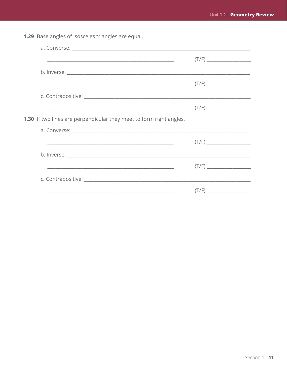1.29 Base angles of isosceles triangles are equal.

| <u> 1989 - Johann Stoff, amerikansk politiker (d. 1989)</u>                                                            |  |
|------------------------------------------------------------------------------------------------------------------------|--|
|                                                                                                                        |  |
|                                                                                                                        |  |
|                                                                                                                        |  |
|                                                                                                                        |  |
| <b>1.30</b> If two lines are perpendicular they meet to form right angles.                                             |  |
|                                                                                                                        |  |
| <u> De altres de la componentación de la componentación de la componentación de la componentación de la componenta</u> |  |
|                                                                                                                        |  |
| <u> 1989 - Jan James James Barnett, amerikan berlindar (h. 1989).</u>                                                  |  |
|                                                                                                                        |  |
|                                                                                                                        |  |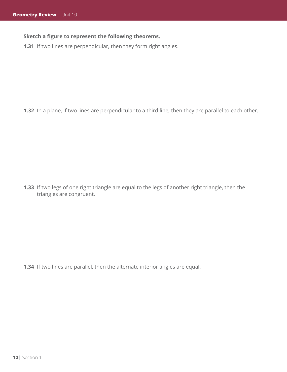#### **Sketch a figure to represent the following theorems.**

**1.31** If two lines are perpendicular, then they form right angles.

**1.32** In a plane, if two lines are perpendicular to a third line, then they are parallel to each other.

**1.33** If two legs of one right triangle are equal to the legs of another right triangle, then the triangles are congruent.

**1.34** If two lines are parallel, then the alternate interior angles are equal.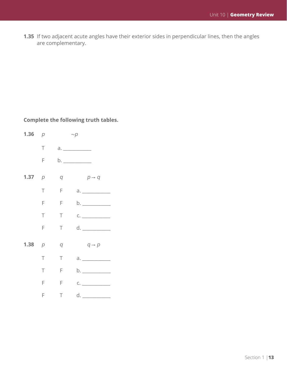**1.35** If two adjacent acute angles have their exterior sides in perpendicular lines, then the angles are complementary.

#### **Complete the following truth tables.**

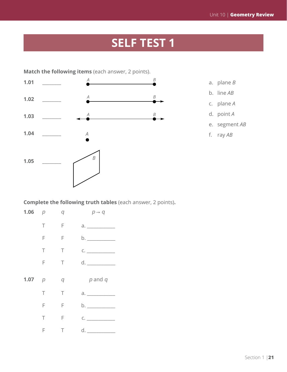# **SELF TEST 1**



- 
- b. line *AB*
- c. plane *A*
- d. point *A*
- e. segment *AB*
- f. ray *AB*

**Complete the following truth tables** (each answer, 2 points)**.**

| 1.06 $p$ |        | q      | $p \rightarrow q$                                                                                                                                                                                                                                                                                                                                   |
|----------|--------|--------|-----------------------------------------------------------------------------------------------------------------------------------------------------------------------------------------------------------------------------------------------------------------------------------------------------------------------------------------------------|
|          | $\top$ | $-$ F  |                                                                                                                                                                                                                                                                                                                                                     |
|          | F.     | F      | b. _______________                                                                                                                                                                                                                                                                                                                                  |
|          | $\top$ | Τ      | $\begin{picture}(150,10) \put(0,0){\line(1,0){10}} \put(15,0){\line(1,0){10}} \put(15,0){\line(1,0){10}} \put(15,0){\line(1,0){10}} \put(15,0){\line(1,0){10}} \put(15,0){\line(1,0){10}} \put(15,0){\line(1,0){10}} \put(15,0){\line(1,0){10}} \put(15,0){\line(1,0){10}} \put(15,0){\line(1,0){10}} \put(15,0){\line(1,0){10}} \put(15,0){\line($ |
|          | F.     | $\top$ |                                                                                                                                                                                                                                                                                                                                                     |
|          |        |        |                                                                                                                                                                                                                                                                                                                                                     |
| 1.07 $p$ |        | q      | p and q                                                                                                                                                                                                                                                                                                                                             |
|          | T.     | Τ      |                                                                                                                                                                                                                                                                                                                                                     |
|          | F      | F      | b.                                                                                                                                                                                                                                                                                                                                                  |
|          | T.     | F      | C.                                                                                                                                                                                                                                                                                                                                                  |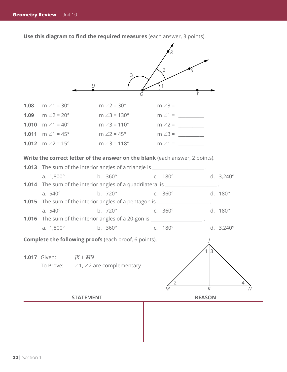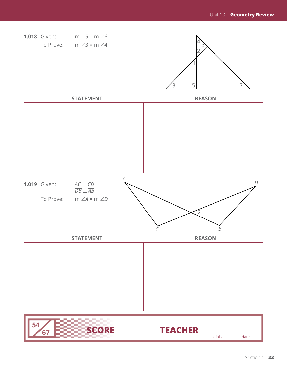